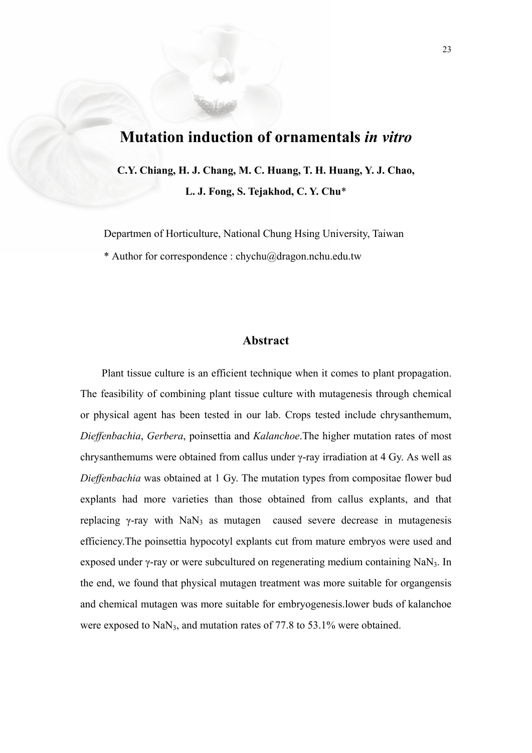# **Mutation induction of ornamentals** *in vitro*

**C.Y. Chiang, H. J. Chang, M. C. Huang, T. H. Huang, Y. J. Chao, L. J. Fong, S. Tejakhod, C. Y. Chu**\*

Departmen of Horticulture, National Chung Hsing University, Taiwan

\* Author for correspondence : chychu@dragon.nchu.edu.tw

# **Abstract**

Plant tissue culture is an efficient technique when it comes to plant propagation. The feasibility of combining plant tissue culture with mutagenesis through chemical or physical agent has been tested in our lab. Crops tested include chrysanthemum, *Dieffenbachia*, *Gerbera*, poinsettia and *Kalanchoe*.The higher mutation rates of most chrysanthemums were obtained from callus under γ-ray irradiation at 4 Gy. As well as *Dieffenbachia* was obtained at 1 Gy. The mutation types from compositae flower bud explants had more varieties than those obtained from callus explants, and that replacing  $\gamma$ -ray with NaN<sub>3</sub> as mutagen caused severe decrease in mutagenesis efficiency.The poinsettia hypocotyl explants cut from mature embryos were used and exposed under γ-ray or were subcultured on regenerating medium containing NaN3. In the end, we found that physical mutagen treatment was more suitable for organgensis and chemical mutagen was more suitable for embryogenesis.lower buds of kalanchoe were exposed to  $\text{NaN}_3$ , and mutation rates of 77.8 to 53.1% were obtained.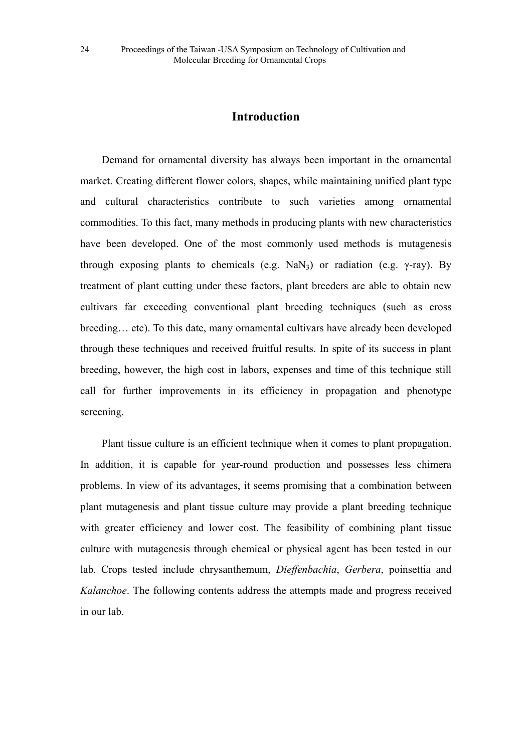# **Introduction**

Demand for ornamental diversity has always been important in the ornamental market. Creating different flower colors, shapes, while maintaining unified plant type and cultural characteristics contribute to such varieties among ornamental commodities. To this fact, many methods in producing plants with new characteristics have been developed. One of the most commonly used methods is mutagenesis through exposing plants to chemicals (e.g. NaN<sub>3</sub>) or radiation (e.g.  $\gamma$ -ray). By treatment of plant cutting under these factors, plant breeders are able to obtain new cultivars far exceeding conventional plant breeding techniques (such as cross breeding… etc). To this date, many ornamental cultivars have already been developed through these techniques and received fruitful results. In spite of its success in plant breeding, however, the high cost in labors, expenses and time of this technique still call for further improvements in its efficiency in propagation and phenotype screening.

Plant tissue culture is an efficient technique when it comes to plant propagation. In addition, it is capable for year-round production and possesses less chimera problems. In view of its advantages, it seems promising that a combination between plant mutagenesis and plant tissue culture may provide a plant breeding technique with greater efficiency and lower cost. The feasibility of combining plant tissue culture with mutagenesis through chemical or physical agent has been tested in our lab. Crops tested include chrysanthemum, *Dieffenbachia*, *Gerbera*, poinsettia and *Kalanchoe*. The following contents address the attempts made and progress received in our lab.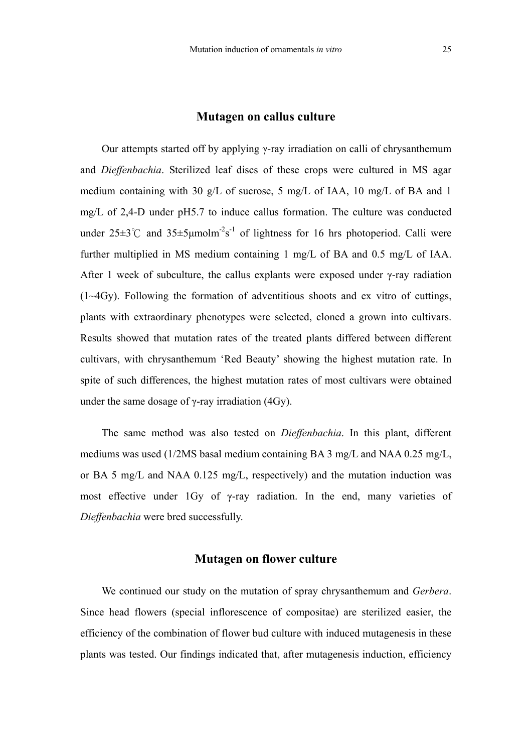#### **Mutagen on callus culture**

Our attempts started off by applying γ-ray irradiation on calli of chrysanthemum and *Dieffenbachia*. Sterilized leaf discs of these crops were cultured in MS agar medium containing with 30 g/L of sucrose, 5 mg/L of IAA, 10 mg/L of BA and 1 mg/L of 2,4-D under pH5.7 to induce callus formation. The culture was conducted under  $25\pm3^{\circ}$  and  $35\pm5\mu$ molm<sup>-2</sup>s<sup>-1</sup> of lightness for 16 hrs photoperiod. Calli were further multiplied in MS medium containing 1 mg/L of BA and 0.5 mg/L of IAA. After 1 week of subculture, the callus explants were exposed under  $\gamma$ -ray radiation (1~4Gy). Following the formation of adventitious shoots and ex vitro of cuttings, plants with extraordinary phenotypes were selected, cloned a grown into cultivars. Results showed that mutation rates of the treated plants differed between different cultivars, with chrysanthemum 'Red Beauty' showing the highest mutation rate. In spite of such differences, the highest mutation rates of most cultivars were obtained under the same dosage of  $\gamma$ -ray irradiation (4Gy).

The same method was also tested on *Dieffenbachia*. In this plant, different mediums was used (1/2MS basal medium containing BA 3 mg/L and NAA 0.25 mg/L, or BA 5 mg/L and NAA 0.125 mg/L, respectively) and the mutation induction was most effective under 1Gy of γ-ray radiation. In the end, many varieties of *Dieffenbachia* were bred successfully.

#### **Mutagen on flower culture**

We continued our study on the mutation of spray chrysanthemum and *Gerbera*. Since head flowers (special inflorescence of compositae) are sterilized easier, the efficiency of the combination of flower bud culture with induced mutagenesis in these plants was tested. Our findings indicated that, after mutagenesis induction, efficiency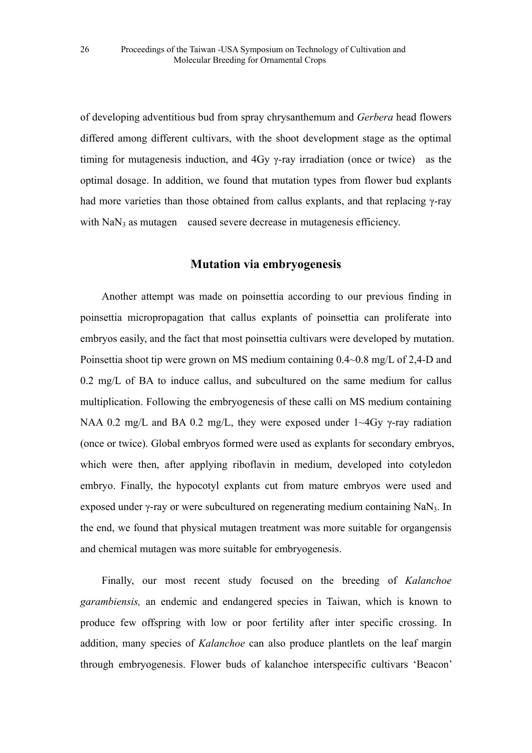of developing adventitious bud from spray chrysanthemum and *Gerbera* head flowers differed among different cultivars, with the shoot development stage as the optimal timing for mutagenesis induction, and 4Gy γ-ray irradiation (once or twice) as the optimal dosage. In addition, we found that mutation types from flower bud explants had more varieties than those obtained from callus explants, and that replacing γ-ray with  $\text{NaN}_3$  as mutagen caused severe decrease in mutagenesis efficiency.

#### **Mutation via embryogenesis**

Another attempt was made on poinsettia according to our previous finding in poinsettia micropropagation that callus explants of poinsettia can proliferate into embryos easily, and the fact that most poinsettia cultivars were developed by mutation. Poinsettia shoot tip were grown on MS medium containing 0.4~0.8 mg/L of 2,4-D and 0.2 mg/L of BA to induce callus, and subcultured on the same medium for callus multiplication. Following the embryogenesis of these calli on MS medium containing NAA 0.2 mg/L and BA 0.2 mg/L, they were exposed under  $1 \sim 4$ Gy  $\gamma$ -ray radiation (once or twice). Global embryos formed were used as explants for secondary embryos, which were then, after applying riboflavin in medium, developed into cotyledon embryo. Finally, the hypocotyl explants cut from mature embryos were used and exposed under  $\gamma$ -ray or were subcultured on regenerating medium containing NaN<sub>3</sub>. In the end, we found that physical mutagen treatment was more suitable for organgensis and chemical mutagen was more suitable for embryogenesis.

Finally, our most recent study focused on the breeding of *Kalanchoe garambiensis,* an endemic and endangered species in Taiwan, which is known to produce few offspring with low or poor fertility after inter specific crossing. In addition, many species of *Kalanchoe* can also produce plantlets on the leaf margin through embryogenesis. Flower buds of kalanchoe interspecific cultivars 'Beacon'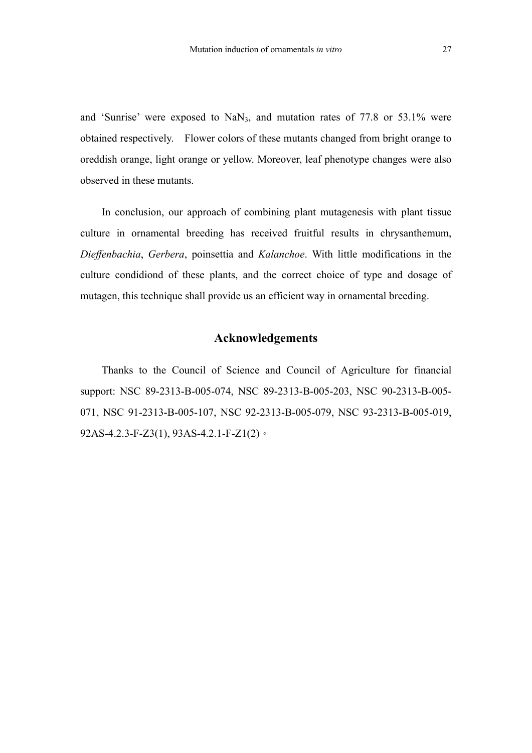and 'Sunrise' were exposed to  $\text{NaN}_3$ , and mutation rates of 77.8 or 53.1% were obtained respectively. Flower colors of these mutants changed from bright orange to oreddish orange, light orange or yellow. Moreover, leaf phenotype changes were also observed in these mutants.

In conclusion, our approach of combining plant mutagenesis with plant tissue culture in ornamental breeding has received fruitful results in chrysanthemum, *Dieffenbachia*, *Gerbera*, poinsettia and *Kalanchoe*. With little modifications in the culture condidiond of these plants, and the correct choice of type and dosage of mutagen, this technique shall provide us an efficient way in ornamental breeding.

# **Acknowledgements**

Thanks to the Council of Science and Council of Agriculture for financial support: NSC 89-2313-B-005-074, NSC 89-2313-B-005-203, NSC 90-2313-B-005- 071, NSC 91-2313-B-005-107, NSC 92-2313-B-005-079, NSC 93-2313-B-005-019, 92AS-4.2.3-F-Z3(1), 93AS-4.2.1-F-Z1(2)。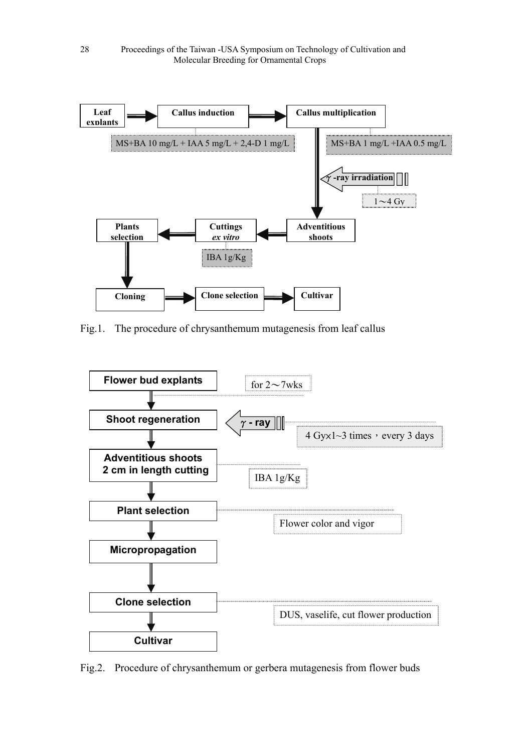

Fig.1. The procedure of chrysanthemum mutagenesis from leaf callus



Fig.2. Procedure of chrysanthemum or gerbera mutagenesis from flower buds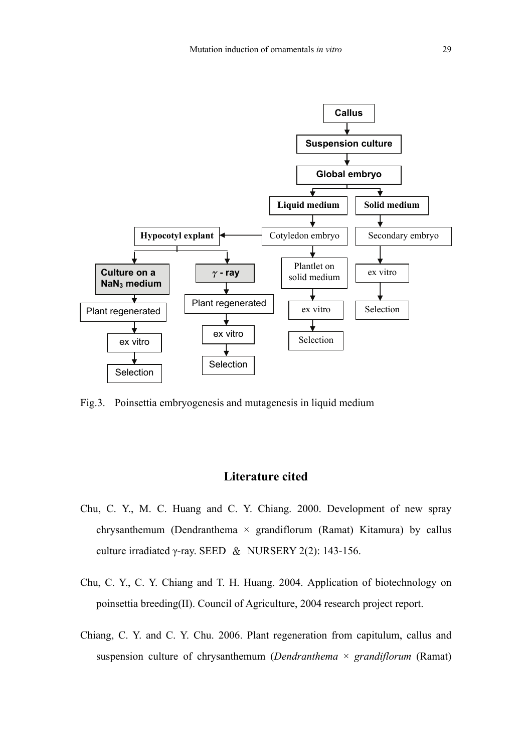

Fig.3. Poinsettia embryogenesis and mutagenesis in liquid medium

# **Literature cited**

- Chu, C. Y., M. C. Huang and C. Y. Chiang. 2000. Development of new spray chrysanthemum (Dendranthema  $\times$  grandiflorum (Ramat) Kitamura) by callus culture irradiated γ-ray. SEED & NURSERY 2(2): 143-156.
- Chu, C. Y., C. Y. Chiang and T. H. Huang. 2004. Application of biotechnology on poinsettia breeding(II). Council of Agriculture, 2004 research project report.
- Chiang, C. Y. and C. Y. Chu. 2006. Plant regeneration from capitulum, callus and suspension culture of chrysanthemum (*Dendranthema* × *grandiflorum* (Ramat)